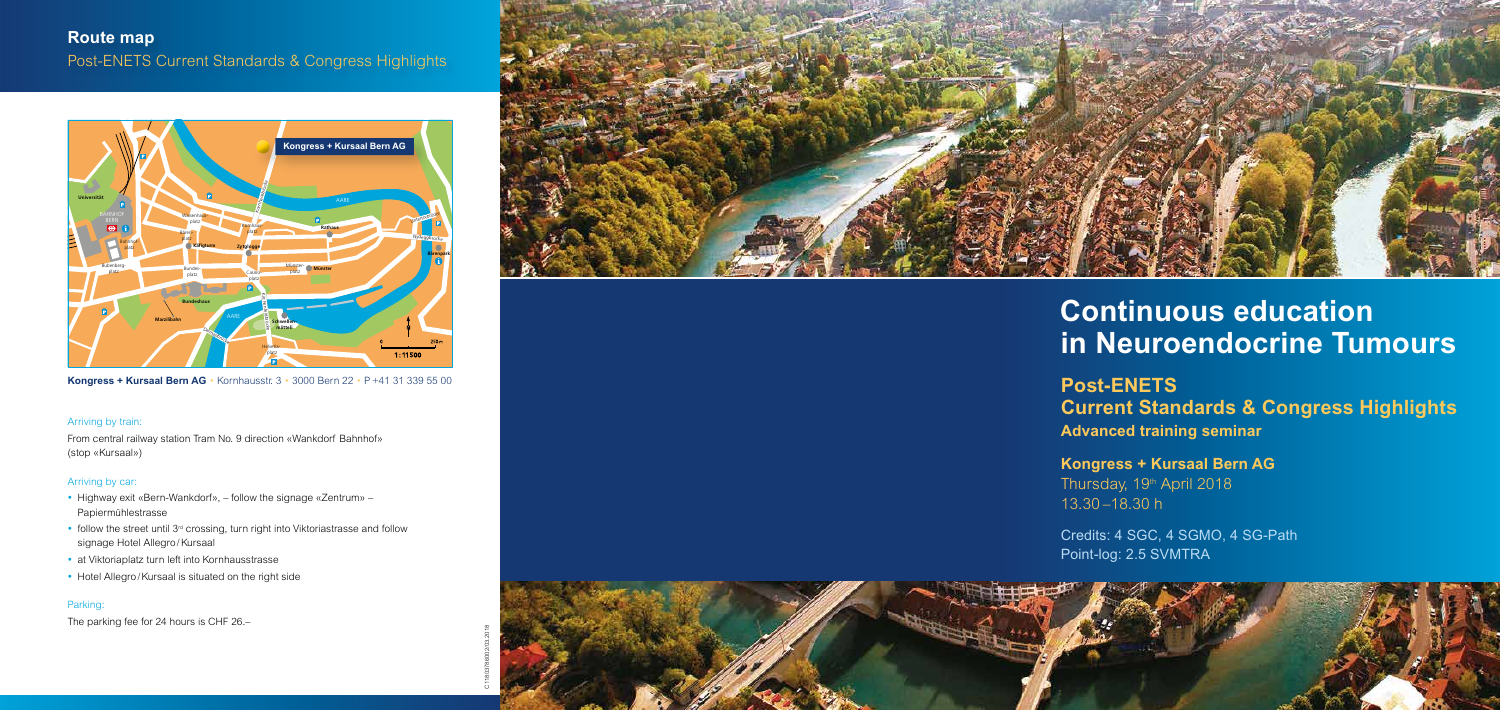**Kongress + Kursaal Bern AG** Thursday, 19<sup>th</sup> April 2018 13.30 –18.30 h

Credits: 4 SGC, 4 SGMO, 4 SG-Path Point-log: 2.5 SVMTRA

**Post-ENETS Current Standards & Congress Highlights Advanced training seminar**

# **Continuous education in Neuroendocrine Tumours**



**Kongress + Kursaal Bern AG •** Kornhausstr. 3 • 3000 Bern 22 • P +41 31 339 55 00

EVENTLOKAL

#### Arriving by train:

From central railway station Tram No. 9 direction «Wankdorf Bahnhof» (stop «Kursaal»)

### Arriving by car:

# BIERHÜBELI **B B** Post-ENETS Current Standards & Congress Highlights **Route map**

- Highway exit «Bern-Wankdorf», follow the signage «Zentrum» Papiermühlestrasse
- follow the street until  $3<sup>rd</sup>$  crossing, turn right into Viktoriastrasse and follow signage Hotel Allegro /Kursaal
- at Viktoriaplatz turn left into Kornhausstrasse
- Hotel Allegro/Kursaal is situated on the right side

## Parking:

The parking fee for 24 hours is CHF 26.–

C11803786002/03.2018